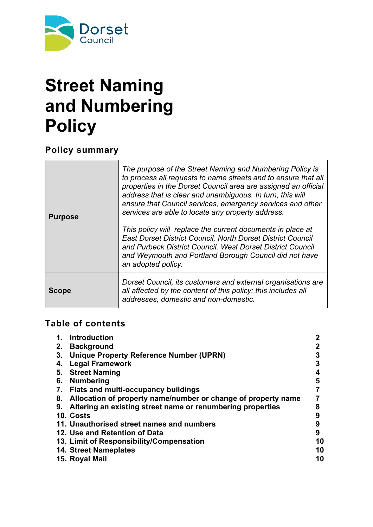

# **Street Naming and Numbering Policy**

**Policy summary**

| <b>Purpose</b> | The purpose of the Street Naming and Numbering Policy is<br>to process all requests to name streets and to ensure that all<br>properties in the Dorset Council area are assigned an official<br>address that is clear and unambiguous. In turn, this will<br>ensure that Council services, emergency services and other<br>services are able to locate any property address.<br>This policy will replace the current documents in place at<br><b>East Dorset District Council, North Dorset District Council</b><br>and Purbeck District Council. West Dorset District Council<br>and Weymouth and Portland Borough Council did not have<br>an adopted policy. |
|----------------|----------------------------------------------------------------------------------------------------------------------------------------------------------------------------------------------------------------------------------------------------------------------------------------------------------------------------------------------------------------------------------------------------------------------------------------------------------------------------------------------------------------------------------------------------------------------------------------------------------------------------------------------------------------|
| <b>Scope</b>   | Dorset Council, its customers and external organisations are<br>all affected by the content of this policy; this includes all<br>addresses, domestic and non-domestic.                                                                                                                                                                                                                                                                                                                                                                                                                                                                                         |

## **Table of contents**

| <b>Introduction</b><br>1.                                           |    |
|---------------------------------------------------------------------|----|
| <b>Background</b><br>2.                                             |    |
| <b>Unique Property Reference Number (UPRN)</b><br>3.                | 3  |
| <b>Legal Framework</b><br>4.                                        | 3  |
| <b>Street Naming</b><br>5.                                          | 4  |
| <b>Numbering</b><br>6.                                              | 5  |
| <b>Flats and multi-occupancy buildings</b><br>7.                    |    |
| Allocation of property name/number or change of property name<br>8. |    |
| Altering an existing street name or renumbering properties<br>9.    | 8  |
| 10. Costs                                                           | 9  |
| 11. Unauthorised street names and numbers                           | 9  |
| 12. Use and Retention of Data                                       | 9  |
| 13. Limit of Responsibility/Compensation                            | 10 |
| <b>14. Street Nameplates</b>                                        | 10 |
| 15. Royal Mail                                                      | 10 |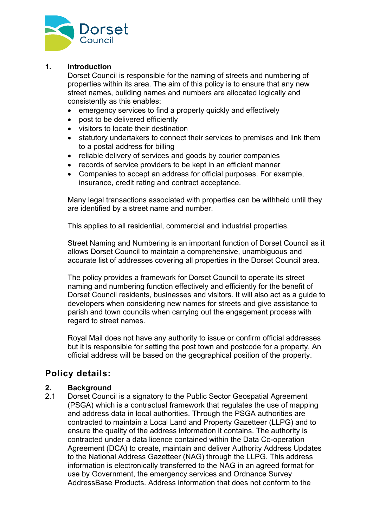

#### **1. Introduction**

Dorset Council is responsible for the naming of streets and numbering of properties within its area. The aim of this policy is to ensure that any new street names, building names and numbers are allocated logically and consistently as this enables:

- emergency services to find a property quickly and effectively
- post to be delivered efficiently
- visitors to locate their destination
- statutory undertakers to connect their services to premises and link them to a postal address for billing
- reliable delivery of services and goods by courier companies
- records of service providers to be kept in an efficient manner
- Companies to accept an address for official purposes. For example, insurance, credit rating and contract acceptance.

Many legal transactions associated with properties can be withheld until they are identified by a street name and number.

This applies to all residential, commercial and industrial properties.

Street Naming and Numbering is an important function of Dorset Council as it allows Dorset Council to maintain a comprehensive, unambiguous and accurate list of addresses covering all properties in the Dorset Council area.

The policy provides a framework for Dorset Council to operate its street naming and numbering function effectively and efficiently for the benefit of Dorset Council residents, businesses and visitors. It will also act as a guide to developers when considering new names for streets and give assistance to parish and town councils when carrying out the engagement process with regard to street names.

Royal Mail does not have any authority to issue or confirm official addresses but it is responsible for setting the post town and postcode for a property. An official address will be based on the geographical position of the property.

### **Policy details:**

#### **2. Background**

2.1 Dorset Council is a signatory to the Public Sector Geospatial Agreement (PSGA) which is a contractual framework that regulates the use of mapping and address data in local authorities. Through the PSGA authorities are contracted to maintain a Local Land and Property Gazetteer (LLPG) and to ensure the quality of the address information it contains. The authority is contracted under a data licence contained within the Data Co-operation Agreement (DCA) to create, maintain and deliver Authority Address Updates to the National Address Gazetteer (NAG) through the LLPG. This address information is electronically transferred to the NAG in an agreed format for use by Government, the emergency services and Ordnance Survey AddressBase Products. Address information that does not conform to the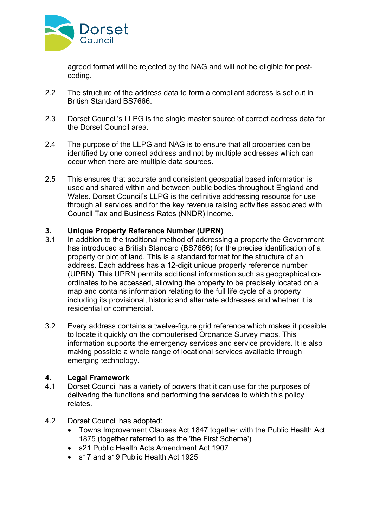

agreed format will be rejected by the NAG and will not be eligible for postcoding.

- 2.2 The structure of the address data to form a compliant address is set out in British Standard BS7666.
- 2.3 Dorset Council's LLPG is the single master source of correct address data for the Dorset Council area.
- 2.4 The purpose of the LLPG and NAG is to ensure that all properties can be identified by one correct address and not by multiple addresses which can occur when there are multiple data sources.
- 2.5 This ensures that accurate and consistent geospatial based information is used and shared within and between public bodies throughout England and Wales. Dorset Council's LLPG is the definitive addressing resource for use through all services and for the key revenue raising activities associated with Council Tax and Business Rates (NNDR) income.

#### **3. Unique Property Reference Number (UPRN)**

- 3.1 In addition to the traditional method of addressing a property the Government has introduced a British Standard (BS7666) for the precise identification of a property or plot of land. This is a standard format for the structure of an address. Each address has a 12-digit unique property reference number (UPRN). This UPRN permits additional information such as geographical coordinates to be accessed, allowing the property to be precisely located on a map and contains information relating to the full life cycle of a property including its provisional, historic and alternate addresses and whether it is residential or commercial.
- 3.2 Every address contains a twelve-figure grid reference which makes it possible to locate it quickly on the computerised Ordnance Survey maps. This information supports the emergency services and service providers. It is also making possible a whole range of locational services available through emerging technology.

#### **4. Legal Framework**

- 4.1 Dorset Council has a variety of powers that it can use for the purposes of delivering the functions and performing the services to which this policy relates.
- 4.2 Dorset Council has adopted:
	- Towns Improvement Clauses Act 1847 together with the Public Health Act 1875 (together referred to as the 'the First Scheme')
	- s21 Public Health Acts Amendment Act 1907
	- s17 and s19 Public Health Act 1925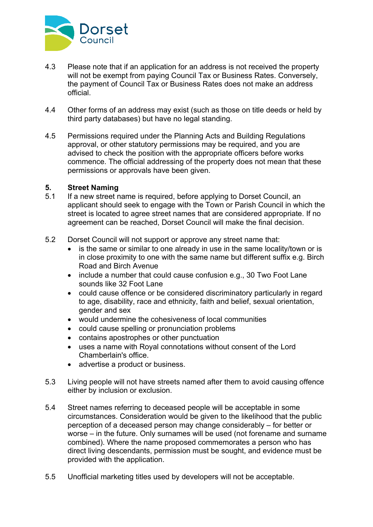

- 4.3 Please note that if an application for an address is not received the property will not be exempt from paying Council Tax or Business Rates. Conversely, the payment of Council Tax or Business Rates does not make an address official.
- 4.4 Other forms of an address may exist (such as those on title deeds or held by third party databases) but have no legal standing.
- 4.5 Permissions required under the Planning Acts and Building Regulations approval, or other statutory permissions may be required, and you are advised to check the position with the appropriate officers before works commence. The official addressing of the property does not mean that these permissions or approvals have been given.

#### **5. Street Naming**

- 5.1 If a new street name is required, before applying to Dorset Council, an applicant should seek to engage with the Town or Parish Council in which the street is located to agree street names that are considered appropriate. If no agreement can be reached, Dorset Council will make the final decision.
- 5.2 Dorset Council will not support or approve any street name that:
	- is the same or similar to one already in use in the same locality/town or is in close proximity to one with the same name but different suffix e.g. Birch Road and Birch Avenue
	- include a number that could cause confusion e.g., 30 Two Foot Lane sounds like 32 Foot Lane
	- could cause offence or be considered discriminatory particularly in regard to age, disability, race and ethnicity, faith and belief, sexual orientation, gender and sex
	- would undermine the cohesiveness of local communities
	- could cause spelling or pronunciation problems
	- contains apostrophes or other punctuation
	- uses a name with Royal connotations without consent of the Lord Chamberlain's office.
	- advertise a product or business.
- 5.3 Living people will not have streets named after them to avoid causing offence either by inclusion or exclusion.
- 5.4 Street names referring to deceased people will be acceptable in some circumstances. Consideration would be given to the likelihood that the public perception of a deceased person may change considerably – for better or worse – in the future. Only surnames will be used (not forename and surname combined). Where the name proposed commemorates a person who has direct living descendants, permission must be sought, and evidence must be provided with the application.
- 5.5 Unofficial marketing titles used by developers will not be acceptable.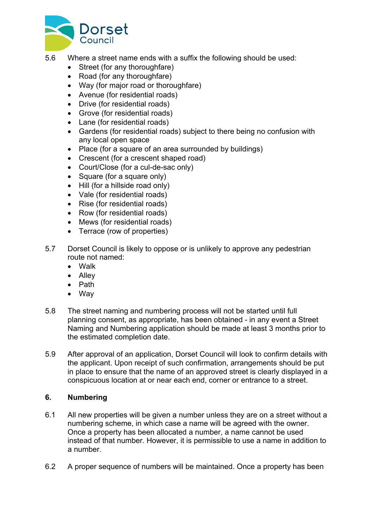

- 5.6 Where a street name ends with a suffix the following should be used:
	- Street (for any thoroughfare)
	- Road (for any thoroughfare)
	- Way (for major road or thoroughfare)
	- Avenue (for residential roads)
	- Drive (for residential roads)
	- Grove (for residential roads)
	- Lane (for residential roads)
	- Gardens (for residential roads) subject to there being no confusion with any local open space
	- Place (for a square of an area surrounded by buildings)
	- Crescent (for a crescent shaped road)
	- Court/Close (for a cul-de-sac only)
	- Square (for a square only)
	- Hill (for a hillside road only)
	- Vale (for residential roads)
	- Rise (for residential roads)
	- Row (for residential roads)
	- Mews (for residential roads)
	- Terrace (row of properties)
- 5.7 Dorset Council is likely to oppose or is unlikely to approve any pedestrian route not named:
	- Walk
	- Alley
	- Path
	- Way
- 5.8 The street naming and numbering process will not be started until full planning consent, as appropriate, has been obtained - in any event a Street Naming and Numbering application should be made at least 3 months prior to the estimated completion date.
- 5.9 After approval of an application, Dorset Council will look to confirm details with the applicant. Upon receipt of such confirmation, arrangements should be put in place to ensure that the name of an approved street is clearly displayed in a conspicuous location at or near each end, corner or entrance to a street.

#### **6. Numbering**

- 6.1 All new properties will be given a number unless they are on a street without a numbering scheme, in which case a name will be agreed with the owner. Once a property has been allocated a number, a name cannot be used instead of that number. However, it is permissible to use a name in addition to a number.
- 6.2 A proper sequence of numbers will be maintained. Once a property has been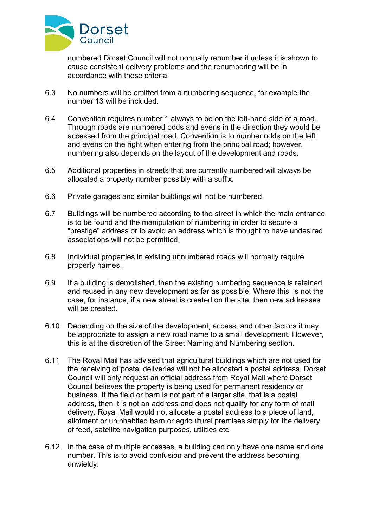

numbered Dorset Council will not normally renumber it unless it is shown to cause consistent delivery problems and the renumbering will be in accordance with these criteria.

- 6.3 No numbers will be omitted from a numbering sequence, for example the number 13 will be included.
- 6.4 Convention requires number 1 always to be on the left-hand side of a road. Through roads are numbered odds and evens in the direction they would be accessed from the principal road. Convention is to number odds on the left and evens on the right when entering from the principal road; however, numbering also depends on the layout of the development and roads.
- 6.5 Additional properties in streets that are currently numbered will always be allocated a property number possibly with a suffix.
- 6.6 Private garages and similar buildings will not be numbered.
- 6.7 Buildings will be numbered according to the street in which the main entrance is to be found and the manipulation of numbering in order to secure a "prestige" address or to avoid an address which is thought to have undesired associations will not be permitted.
- 6.8 Individual properties in existing unnumbered roads will normally require property names.
- 6.9 If a building is demolished, then the existing numbering sequence is retained and reused in any new development as far as possible. Where this is not the case, for instance, if a new street is created on the site, then new addresses will be created.
- 6.10 Depending on the size of the development, access, and other factors it may be appropriate to assign a new road name to a small development. However, this is at the discretion of the Street Naming and Numbering section.
- 6.11 The Royal Mail has advised that agricultural buildings which are not used for the receiving of postal deliveries will not be allocated a postal address. Dorset Council will only request an official address from Royal Mail where Dorset Council believes the property is being used for permanent residency or business. If the field or barn is not part of a larger site, that is a postal address, then it is not an address and does not qualify for any form of mail delivery. Royal Mail would not allocate a postal address to a piece of land, allotment or uninhabited barn or agricultural premises simply for the delivery of feed, satellite navigation purposes, utilities etc.
- 6.12 In the case of multiple accesses, a building can only have one name and one number. This is to avoid confusion and prevent the address becoming unwieldy.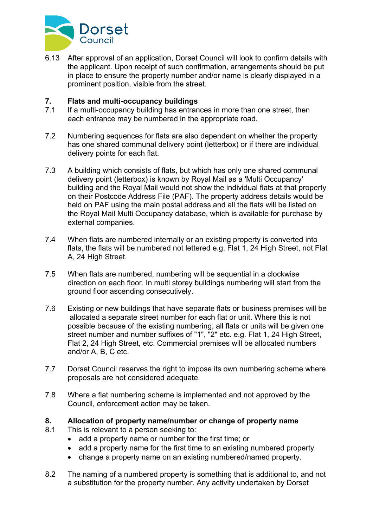

6.13 After approval of an application, Dorset Council will look to confirm details with the applicant. Upon receipt of such confirmation, arrangements should be put in place to ensure the property number and/or name is clearly displayed in a prominent position, visible from the street.

#### **7. Flats and multi-occupancy buildings**

- 7.1 If a multi-occupancy building has entrances in more than one street, then each entrance may be numbered in the appropriate road.
- 7.2 Numbering sequences for flats are also dependent on whether the property has one shared communal delivery point (letterbox) or if there are individual delivery points for each flat.
- 7.3 A building which consists of flats, but which has only one shared communal delivery point (letterbox) is known by Royal Mail as a 'Multi Occupancy' building and the Royal Mail would not show the individual flats at that property on their Postcode Address File (PAF). The property address details would be held on PAF using the main postal address and all the flats will be listed on the Royal Mail Multi Occupancy database, which is available for purchase by external companies.
- 7.4 When flats are numbered internally or an existing property is converted into flats, the flats will be numbered not lettered e.g. Flat 1, 24 High Street, not Flat A, 24 High Street.
- 7.5 When flats are numbered, numbering will be sequential in a clockwise direction on each floor. In multi storey buildings numbering will start from the ground floor ascending consecutively.
- 7.6 Existing or new buildings that have separate flats or business premises will be allocated a separate street number for each flat or unit. Where this is not possible because of the existing numbering, all flats or units will be given one street number and number suffixes of "1", "2" etc. e.g. Flat 1, 24 High Street, Flat 2, 24 High Street, etc. Commercial premises will be allocated numbers and/or A, B, C etc.
- 7.7 Dorset Council reserves the right to impose its own numbering scheme where proposals are not considered adequate.
- 7.8 Where a flat numbering scheme is implemented and not approved by the Council, enforcement action may be taken.

#### **8. Allocation of property name/number or change of property name**

- 8.1 This is relevant to a person seeking to:
	- add a property name or number for the first time; or
	- add a property name for the first time to an existing numbered property
	- change a property name on an existing numbered/named property.
- 8.2 The naming of a numbered property is something that is additional to, and not a substitution for the property number. Any activity undertaken by Dorset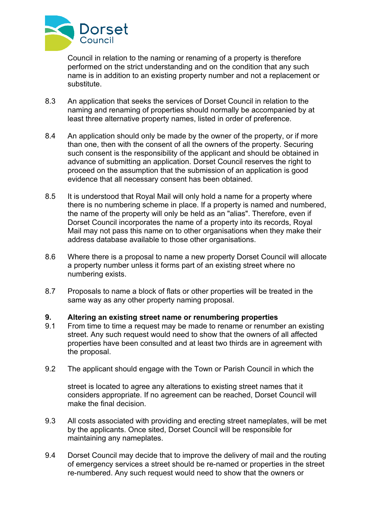

Council in relation to the naming or renaming of a property is therefore performed on the strict understanding and on the condition that any such name is in addition to an existing property number and not a replacement or substitute.

- 8.3 An application that seeks the services of Dorset Council in relation to the naming and renaming of properties should normally be accompanied by at least three alternative property names, listed in order of preference.
- 8.4 An application should only be made by the owner of the property, or if more than one, then with the consent of all the owners of the property. Securing such consent is the responsibility of the applicant and should be obtained in advance of submitting an application. Dorset Council reserves the right to proceed on the assumption that the submission of an application is good evidence that all necessary consent has been obtained.
- 8.5 It is understood that Royal Mail will only hold a name for a property where there is no numbering scheme in place. If a property is named and numbered, the name of the property will only be held as an "alias". Therefore, even if Dorset Council incorporates the name of a property into its records, Royal Mail may not pass this name on to other organisations when they make their address database available to those other organisations.
- 8.6 Where there is a proposal to name a new property Dorset Council will allocate a property number unless it forms part of an existing street where no numbering exists.
- 8.7 Proposals to name a block of flats or other properties will be treated in the same way as any other property naming proposal.

#### **9. Altering an existing street name or renumbering properties**

- 9.1 From time to time a request may be made to rename or renumber an existing street. Any such request would need to show that the owners of all affected properties have been consulted and at least two thirds are in agreement with the proposal.
- 9.2 The applicant should engage with the Town or Parish Council in which the

street is located to agree any alterations to existing street names that it considers appropriate. If no agreement can be reached, Dorset Council will make the final decision.

- 9.3 All costs associated with providing and erecting street nameplates, will be met by the applicants. Once sited, Dorset Council will be responsible for maintaining any nameplates.
- 9.4 Dorset Council may decide that to improve the delivery of mail and the routing of emergency services a street should be re-named or properties in the street re-numbered. Any such request would need to show that the owners or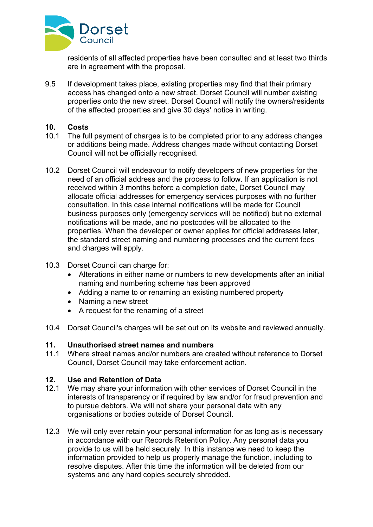

residents of all affected properties have been consulted and at least two thirds are in agreement with the proposal.

9.5 If development takes place, existing properties may find that their primary access has changed onto a new street. Dorset Council will number existing properties onto the new street. Dorset Council will notify the owners/residents of the affected properties and give 30 days' notice in writing.

#### **10. Costs**

- 10.1 The full payment of charges is to be completed prior to any address changes or additions being made. Address changes made without contacting Dorset Council will not be officially recognised.
- 10.2 Dorset Council will endeavour to notify developers of new properties for the need of an official address and the process to follow. If an application is not received within 3 months before a completion date, Dorset Council may allocate official addresses for emergency services purposes with no further consultation. In this case internal notifications will be made for Council business purposes only (emergency services will be notified) but no external notifications will be made, and no postcodes will be allocated to the properties. When the developer or owner applies for official addresses later, the standard street naming and numbering processes and the current fees and charges will apply.
- 10.3 Dorset Council can charge for:
	- Alterations in either name or numbers to new developments after an initial naming and numbering scheme has been approved
	- Adding a name to or renaming an existing numbered property
	- Naming a new street
	- A request for the renaming of a street
- 10.4 Dorset Council's charges will be set out on its website and reviewed annually.

#### **11. Unauthorised street names and numbers**

11.1 Where street names and/or numbers are created without reference to Dorset Council, Dorset Council may take enforcement action.

#### **12. Use and Retention of Data**

- 12.1 We may share your information with other services of Dorset Council in the interests of transparency or if required by law and/or for fraud prevention and to pursue debtors. We will not share your personal data with any organisations or bodies outside of Dorset Council.
- 12.3 We will only ever retain your personal information for as long as is necessary in accordance with our Records Retention Policy. Any personal data you provide to us will be held securely. In this instance we need to keep the information provided to help us properly manage the function, including to resolve disputes. After this time the information will be deleted from our systems and any hard copies securely shredded.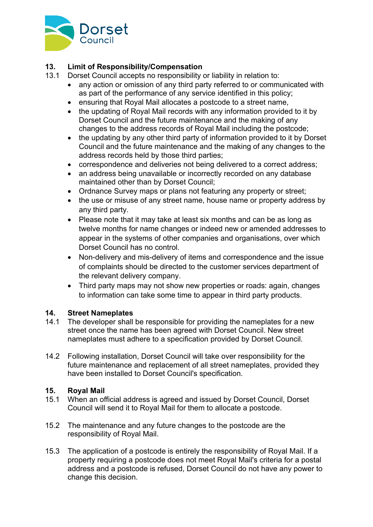

#### **13. Limit of Responsibility/Compensation**

- 13.1 Dorset Council accepts no responsibility or liability in relation to:
	- any action or omission of any third party referred to or communicated with as part of the performance of any service identified in this policy;
	- ensuring that Royal Mail allocates a postcode to a street name,
	- the updating of Royal Mail records with any information provided to it by Dorset Council and the future maintenance and the making of any changes to the address records of Royal Mail including the postcode;
	- the updating by any other third party of information provided to it by Dorset Council and the future maintenance and the making of any changes to the address records held by those third parties;
	- correspondence and deliveries not being delivered to a correct address;
	- an address being unavailable or incorrectly recorded on any database maintained other than by Dorset Council;
	- Ordnance Survey maps or plans not featuring any property or street;
	- the use or misuse of any street name, house name or property address by any third party.
	- Please note that it may take at least six months and can be as long as twelve months for name changes or indeed new or amended addresses to appear in the systems of other companies and organisations, over which Dorset Council has no control.
	- Non-delivery and mis-delivery of items and correspondence and the issue of complaints should be directed to the customer services department of the relevant delivery company.
	- Third party maps may not show new properties or roads: again, changes to information can take some time to appear in third party products.

#### **14. Street Nameplates**

- 14.1 The developer shall be responsible for providing the nameplates for a new street once the name has been agreed with Dorset Council. New street nameplates must adhere to a specification provided by Dorset Council.
- 14.2 Following installation, Dorset Council will take over responsibility for the future maintenance and replacement of all street nameplates, provided they have been installed to Dorset Council's specification.

#### **15. Royal Mail**

- 15.1 When an official address is agreed and issued by Dorset Council, Dorset Council will send it to Royal Mail for them to allocate a postcode.
- 15.2 The maintenance and any future changes to the postcode are the responsibility of Royal Mail.
- 15.3 The application of a postcode is entirely the responsibility of Royal Mail. If a property requiring a postcode does not meet Royal Mail's criteria for a postal address and a postcode is refused, Dorset Council do not have any power to change this decision.